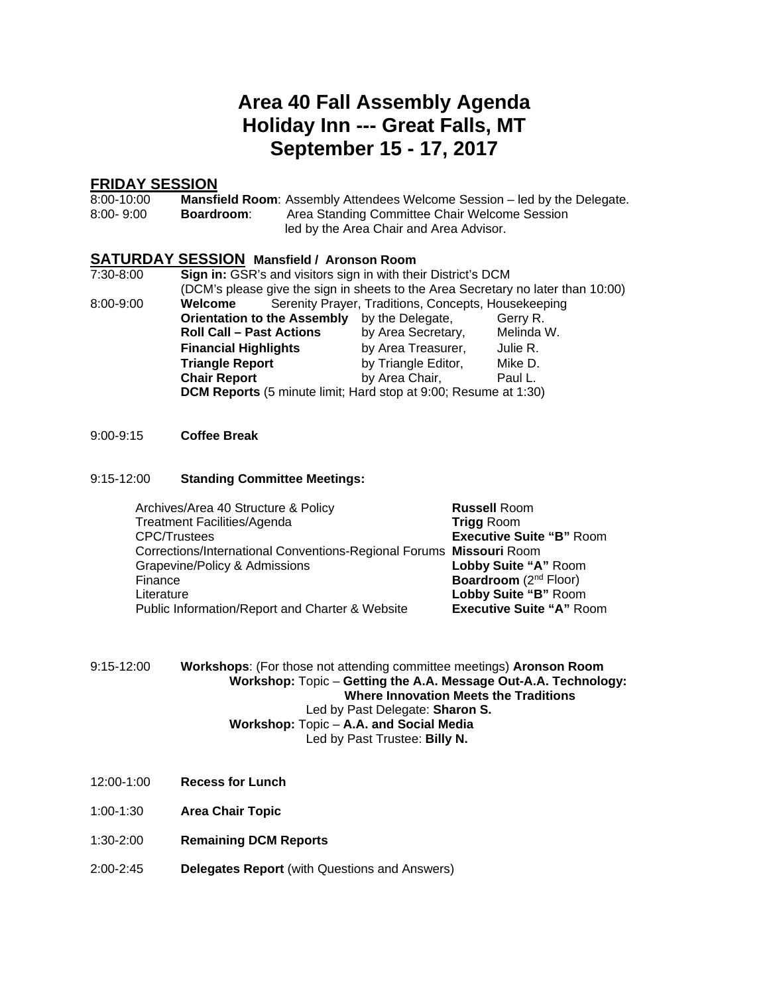### **Area 40 Fall Assembly Agenda Holiday Inn --- Great Falls, MT September 15 - 17, 2017**

#### **FRIDAY SESSION**

| 8:00-10:00    |            | <b>Mansfield Room:</b> Assembly Attendees Welcome Session – led by the Delegate. |
|---------------|------------|----------------------------------------------------------------------------------|
| $8:00 - 9:00$ | Boardroom: | Area Standing Committee Chair Welcome Session                                    |
|               |            | led by the Area Chair and Area Advisor.                                          |

#### **SATURDAY SESSION Mansfield / Aronson Room**

| 7:30-8:00     | Sign in: GSR's and visitors sign in with their District's DCM                    |                                                     |            |  |  |
|---------------|----------------------------------------------------------------------------------|-----------------------------------------------------|------------|--|--|
|               | (DCM's please give the sign in sheets to the Area Secretary no later than 10:00) |                                                     |            |  |  |
| $8:00 - 9:00$ | Welcome                                                                          | Serenity Prayer, Traditions, Concepts, Housekeeping |            |  |  |
|               | <b>Orientation to the Assembly</b>                                               | by the Delegate,                                    | Gerry R.   |  |  |
|               | <b>Roll Call - Past Actions</b>                                                  | by Area Secretary,                                  | Melinda W. |  |  |
|               | <b>Financial Highlights</b>                                                      | by Area Treasurer,                                  | Julie R.   |  |  |
|               | <b>Triangle Report</b>                                                           | by Triangle Editor,                                 | Mike D.    |  |  |
|               | <b>Chair Report</b>                                                              | by Area Chair,                                      | Paul L.    |  |  |
|               | DCM Reports (5 minute limit; Hard stop at 9:00; Resume at 1:30)                  |                                                     |            |  |  |

#### 9:00-9:15 **Coffee Break**

#### 9:15-12:00 **Standing Committee Meetings:**

| Archives/Area 40 Structure & Policy                                 | <b>Russell Room</b>               |
|---------------------------------------------------------------------|-----------------------------------|
| <b>Treatment Facilities/Agenda</b>                                  | <b>Trigg Room</b>                 |
| <b>CPC/Trustees</b>                                                 | <b>Executive Suite "B" Room</b>   |
| Corrections/International Conventions-Regional Forums Missouri Room |                                   |
| Grapevine/Policy & Admissions                                       | Lobby Suite "A" Room              |
| Finance                                                             | Boardroom (2 <sup>nd</sup> Floor) |
| Literature                                                          | Lobby Suite "B" Room              |
| Public Information/Report and Charter & Website                     | <b>Executive Suite "A" Room</b>   |

| 9:15-12:00 | <b>Workshops:</b> (For those not attending committee meetings) <b>Aronson Room</b> |
|------------|------------------------------------------------------------------------------------|
|            | Workshop: Topic – Getting the A.A. Message Out-A.A. Technology:                    |
|            | Where Innovation Meets the Traditions                                              |
|            | Led by Past Delegate: Sharon S.                                                    |
|            | Workshop: Topic - A.A. and Social Media                                            |
|            | Led by Past Trustee: Billy N.                                                      |

- 12:00-1:00 **Recess for Lunch**
- 1:00-1:30 **Area Chair Topic**
- 1:30-2:00 **Remaining DCM Reports**
- 2:00-2:45 **Delegates Report** (with Questions and Answers)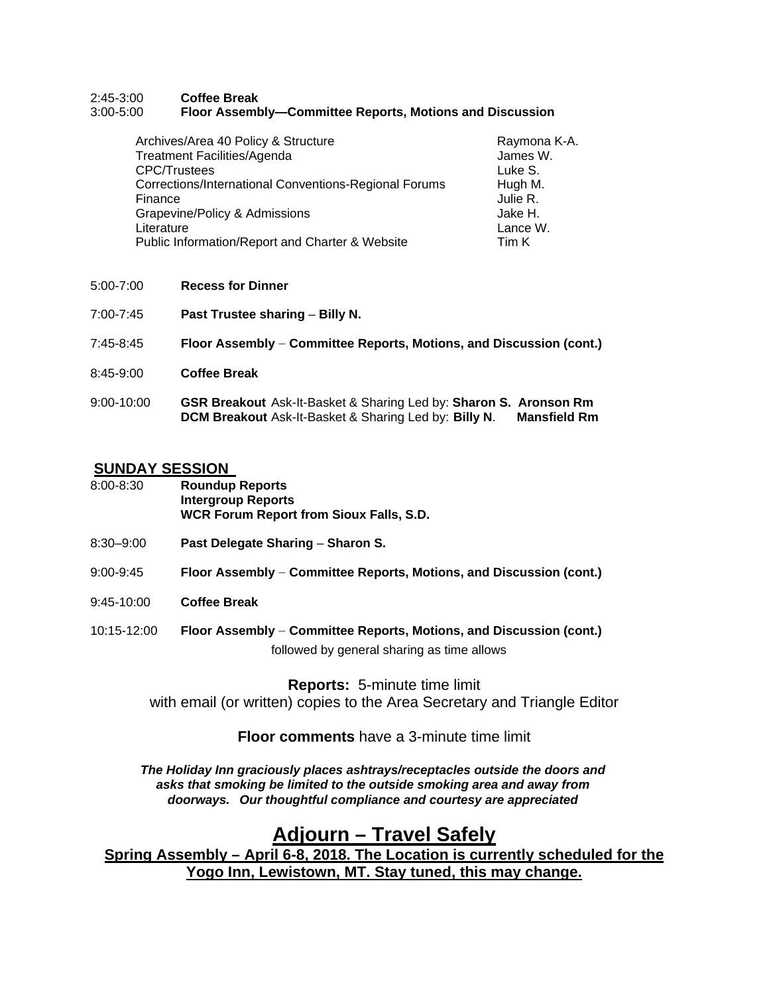#### 2:45-3:00 **Coffee Break** 3:00-5:00 **Floor Assembly—Committee Reports, Motions and Discussion**

| Archives/Area 40 Policy & Structure                   | Raymona K-A. |
|-------------------------------------------------------|--------------|
| <b>Treatment Facilities/Agenda</b>                    | James W.     |
| <b>CPC/Trustees</b>                                   | Luke S.      |
| Corrections/International Conventions-Regional Forums | Hugh M.      |
| Finance                                               | Julie R.     |
| Grapevine/Policy & Admissions                         | Jake H.      |
| Literature                                            | Lance W.     |
| Public Information/Report and Charter & Website       | Tim K        |

- 5:00-7:00 **Recess for Dinner**
- 7:00-7:45 **Past Trustee sharing Billy N.**
- 7:45-8:45 **Floor Assembly** ― **Committee Reports, Motions, and Discussion (cont.)**
- 8:45-9:00 **Coffee Break**
- 9:00-10:00 **GSR Breakout** Ask-It-Basket & Sharing Led by: **Sharon S. Aronson Rm DCM Breakout** Ask-It-Basket & Sharing Led by: **Billy N.**

#### **SUNDAY SESSION**

| 8:00-8:30 | <b>Roundup Reports</b>                         |
|-----------|------------------------------------------------|
|           | Intergroup Reports                             |
|           | <b>WCR Forum Report from Sioux Falls, S.D.</b> |

- 8:30–9:00 **Past Delegate Sharing Sharon S.**
- 9:00-9:45 **Floor Assembly** ― **Committee Reports, Motions, and Discussion (cont.)**
- 9:45-10:00 **Coffee Break**
- 10:15-12:00 **Floor Assembly** ― **Committee Reports, Motions, and Discussion (cont.)** followed by general sharing as time allows

**Reports:** 5-minute time limit with email (or written) copies to the Area Secretary and Triangle Editor

#### **Floor comments** have a 3-minute time limit

*The Holiday Inn graciously places ashtrays/receptacles outside the doors and asks that smoking be limited to the outside smoking area and away from doorways. Our thoughtful compliance and courtesy are appreciated*

#### **Adjourn – Travel Safely**

**Spring Assembly – April 6-8, 2018. The Location is currently scheduled for the Yogo Inn, Lewistown, MT. Stay tuned, this may change.**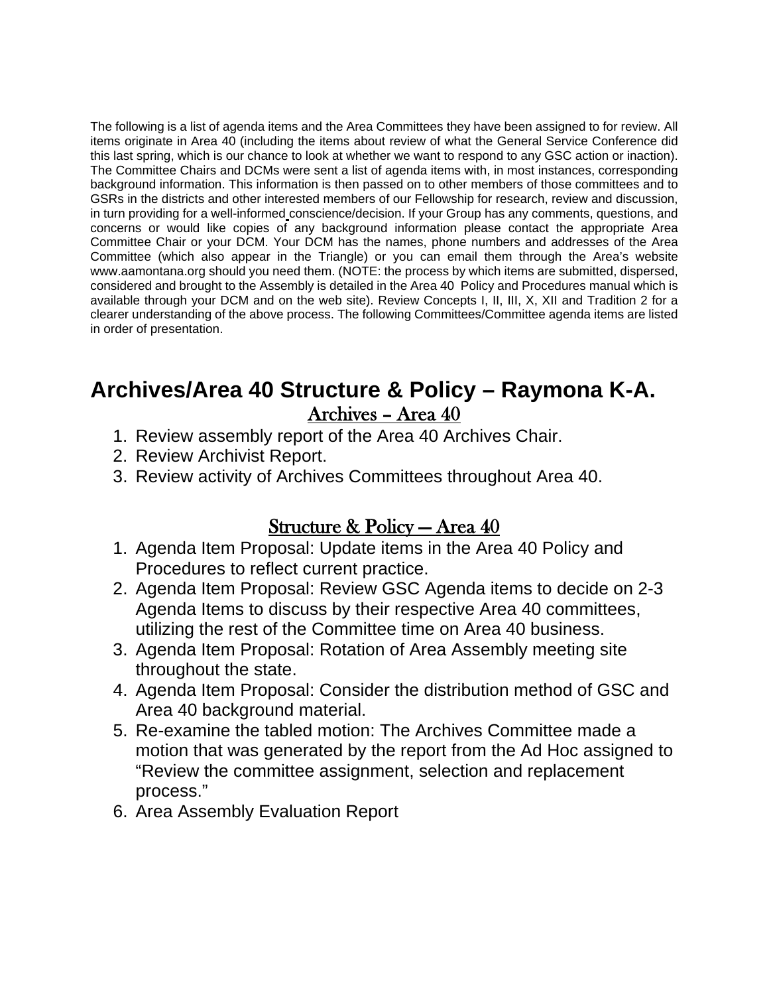The following is a list of agenda items and the Area Committees they have been assigned to for review. All items originate in Area 40 (including the items about review of what the General Service Conference did this last spring, which is our chance to look at whether we want to respond to any GSC action or inaction). The Committee Chairs and DCMs were sent a list of agenda items with, in most instances, corresponding background information. This information is then passed on to other members of those committees and to GSRs in the districts and other interested members of our Fellowship for research, review and discussion, in turn providing for a well-informed conscience/decision. If your Group has any comments, questions, and concerns or would like copies of any background information please contact the appropriate Area Committee Chair or your DCM. Your DCM has the names, phone numbers and addresses of the Area Committee (which also appear in the Triangle) or you can email them through the Area's website www.aamontana.org should you need them. (NOTE: the process by which items are submitted, dispersed, considered and brought to the Assembly is detailed in the Area 40 Policy and Procedures manual which is available through your DCM and on the web site). Review Concepts I, II, III, X, XII and Tradition 2 for a clearer understanding of the above process. The following Committees/Committee agenda items are listed in order of presentation.

## **Archives/Area 40 Structure & Policy – Raymona K-A.** Archives – Area 40

- 1. Review assembly report of the Area 40 Archives Chair.
- 2. Review Archivist Report.
- 3. Review activity of Archives Committees throughout Area 40.

### Structure & Policy — Area 40

- 1. Agenda Item Proposal: Update items in the Area 40 Policy and Procedures to reflect current practice.
- 2. Agenda Item Proposal: Review GSC Agenda items to decide on 2-3 Agenda Items to discuss by their respective Area 40 committees, utilizing the rest of the Committee time on Area 40 business.
- 3. Agenda Item Proposal: Rotation of Area Assembly meeting site throughout the state.
- 4. Agenda Item Proposal: Consider the distribution method of GSC and Area 40 background material.
- 5. Re-examine the tabled motion: The Archives Committee made a motion that was generated by the report from the Ad Hoc assigned to "Review the committee assignment, selection and replacement process."
- 6. Area Assembly Evaluation Report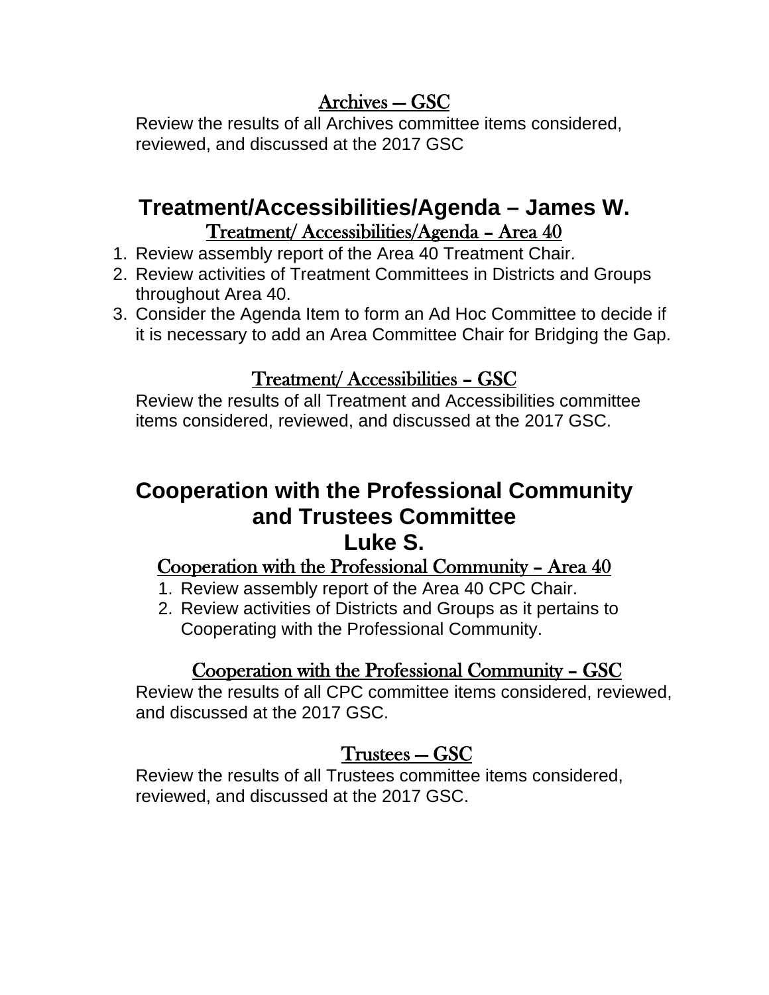## Archives — GSC

Review the results of all Archives committee items considered, reviewed, and discussed at the 2017 GSC

## **Treatment/Accessibilities/Agenda – James W.**  Treatment/ Accessibilities/Agenda – Area 40

- 1. Review assembly report of the Area 40 Treatment Chair.
- 2. Review activities of Treatment Committees in Districts and Groups throughout Area 40.
- 3. Consider the Agenda Item to form an Ad Hoc Committee to decide if it is necessary to add an Area Committee Chair for Bridging the Gap.

## Treatment/ Accessibilities – GSC

Review the results of all Treatment and Accessibilities committee items considered, reviewed, and discussed at the 2017 GSC.

## **Cooperation with the Professional Community and Trustees Committee Luke S.**

## Cooperation with the Professional Community – Area 40

- 1. Review assembly report of the Area 40 CPC Chair.
- 2. Review activities of Districts and Groups as it pertains to Cooperating with the Professional Community.

## Cooperation with the Professional Community – GSC

Review the results of all CPC committee items considered, reviewed, and discussed at the 2017 GSC.

## Trustees — GSC

Review the results of all Trustees committee items considered, reviewed, and discussed at the 2017 GSC.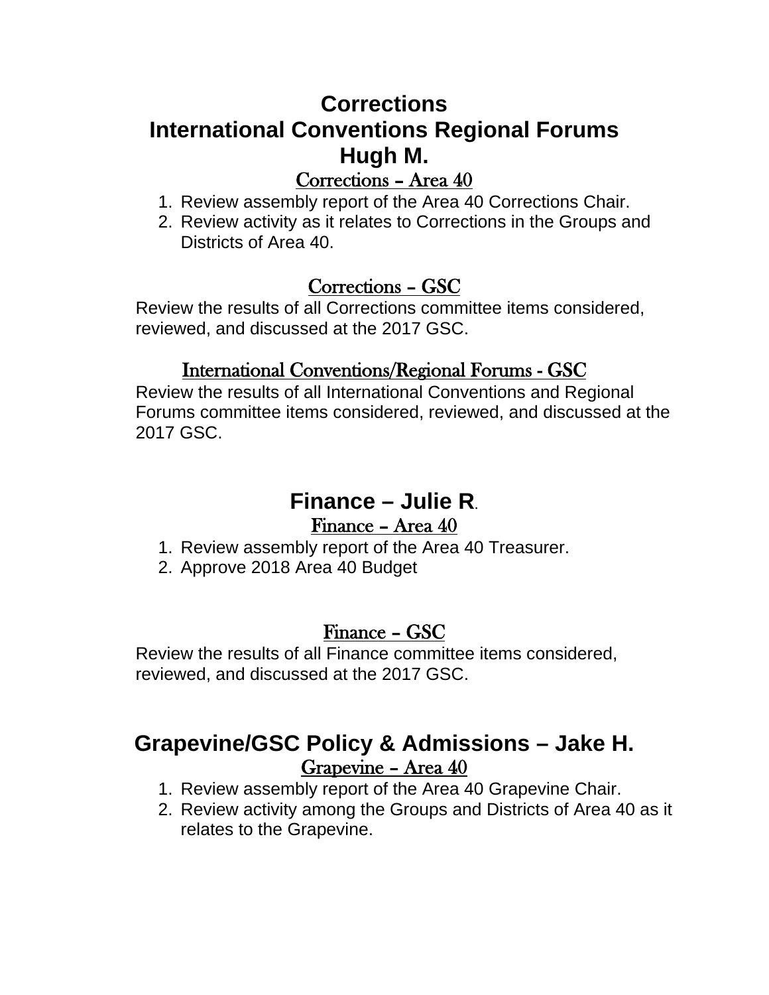# **Corrections International Conventions Regional Forums Hugh M.**

## Corrections – Area 40

- 1. Review assembly report of the Area 40 Corrections Chair.
- 2. Review activity as it relates to Corrections in the Groups and Districts of Area 40.

## Corrections – GSC

Review the results of all Corrections committee items considered, reviewed, and discussed at the 2017 GSC.

## International Conventions/Regional Forums - GSC

Review the results of all International Conventions and Regional Forums committee items considered, reviewed, and discussed at the 2017 GSC.

# **Finance – Julie R**.

## Finance – Area 40

- 1. Review assembly report of the Area 40 Treasurer.
- 2. Approve 2018 Area 40 Budget

## Finance – GSC

Review the results of all Finance committee items considered, reviewed, and discussed at the 2017 GSC.

# **Grapevine/GSC Policy & Admissions – Jake H.** Grapevine – Area 40

- 1. Review assembly report of the Area 40 Grapevine Chair.
- 2. Review activity among the Groups and Districts of Area 40 as it relates to the Grapevine.